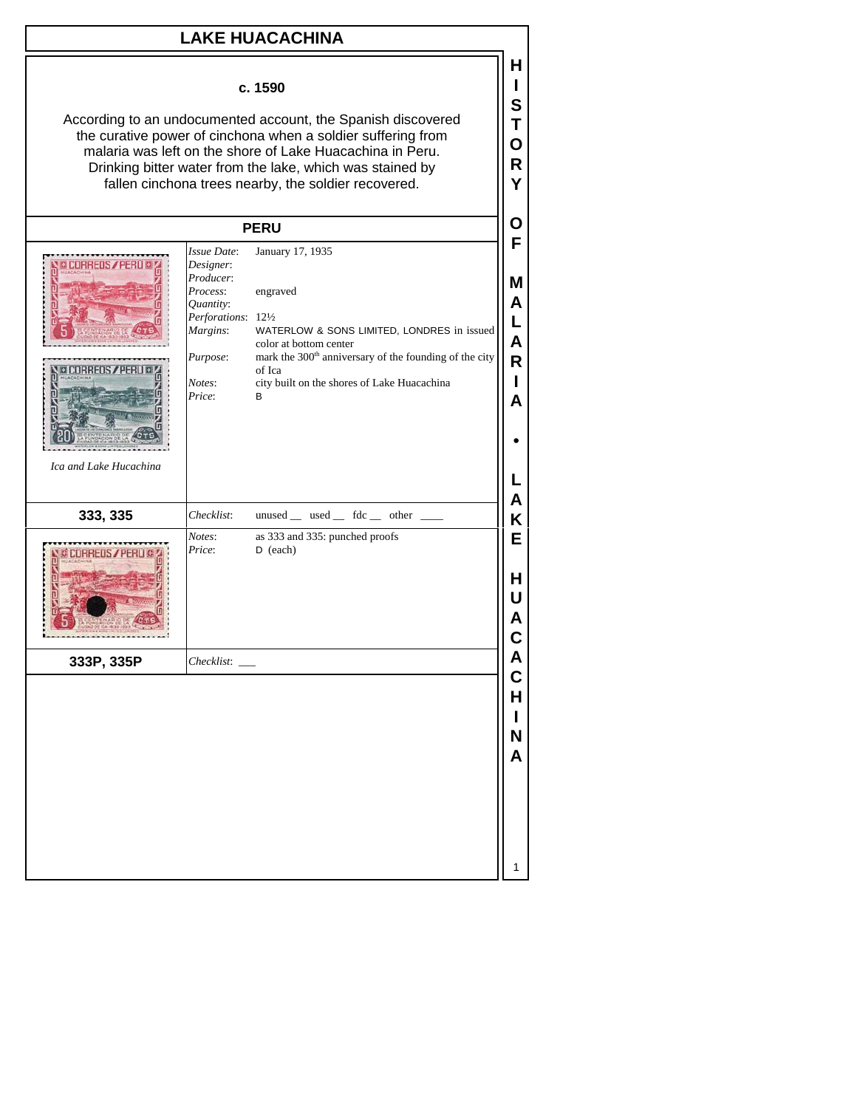| <b>LAKE HUACACHINA</b>                                                                                                                                                                                                                                                                                                    |                                                                                                                                   |                                                                                                                                                                                                                                          |                                                            |  |
|---------------------------------------------------------------------------------------------------------------------------------------------------------------------------------------------------------------------------------------------------------------------------------------------------------------------------|-----------------------------------------------------------------------------------------------------------------------------------|------------------------------------------------------------------------------------------------------------------------------------------------------------------------------------------------------------------------------------------|------------------------------------------------------------|--|
| c. 1590<br>According to an undocumented account, the Spanish discovered<br>the curative power of cinchona when a soldier suffering from<br>malaria was left on the shore of Lake Huacachina in Peru.<br>Drinking bitter water from the lake, which was stained by<br>fallen cinchona trees nearby, the soldier recovered. |                                                                                                                                   |                                                                                                                                                                                                                                          |                                                            |  |
|                                                                                                                                                                                                                                                                                                                           |                                                                                                                                   | <b>PERU</b>                                                                                                                                                                                                                              | O                                                          |  |
| Ica and Lake Hucachina                                                                                                                                                                                                                                                                                                    | Issue Date:<br>Designer:<br>Producer:<br>Process:<br>Quantity:<br>Perforations: 121/2<br>Margins:<br>Purpose:<br>Notes:<br>Price: | January 17, 1935<br>engraved<br>WATERLOW & SONS LIMITED, LONDRES in issued<br>color at bottom center<br>mark the 300 <sup>th</sup> anniversary of the founding of the city<br>of Ica<br>city built on the shores of Lake Huacachina<br>В | F<br>Μ<br>Α<br>L<br>$\overline{\mathsf{A}}$<br>R<br>А<br>A |  |
| 333, 335                                                                                                                                                                                                                                                                                                                  | Checklist:                                                                                                                        | unused _ used _ fdc _ other                                                                                                                                                                                                              | Κ                                                          |  |
|                                                                                                                                                                                                                                                                                                                           | Notes:<br>Price:                                                                                                                  | as 333 and 335: punched proofs<br>$D$ (each)                                                                                                                                                                                             | E<br>Н<br>U                                                |  |
| 333P, 335P                                                                                                                                                                                                                                                                                                                | $Checklist:$ $\_\_$                                                                                                               |                                                                                                                                                                                                                                          | A<br>C                                                     |  |
|                                                                                                                                                                                                                                                                                                                           |                                                                                                                                   |                                                                                                                                                                                                                                          | H<br>N<br>Α                                                |  |
|                                                                                                                                                                                                                                                                                                                           |                                                                                                                                   |                                                                                                                                                                                                                                          | 1                                                          |  |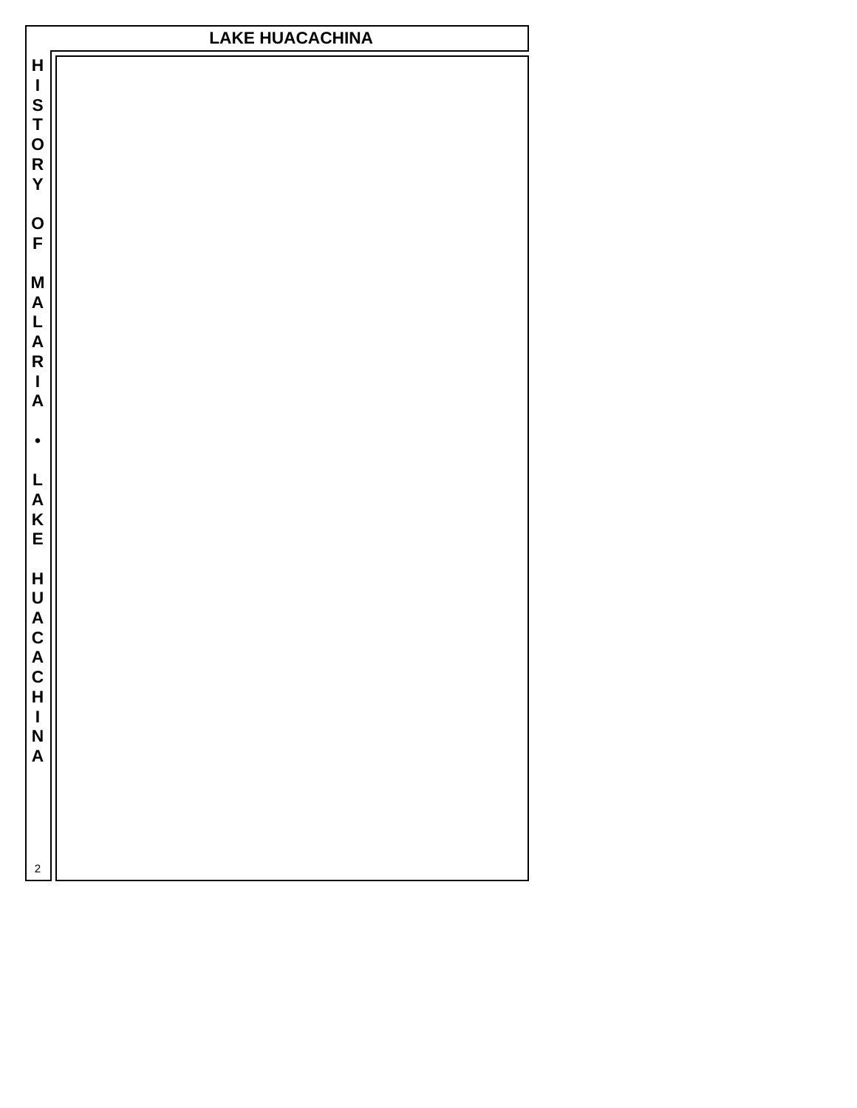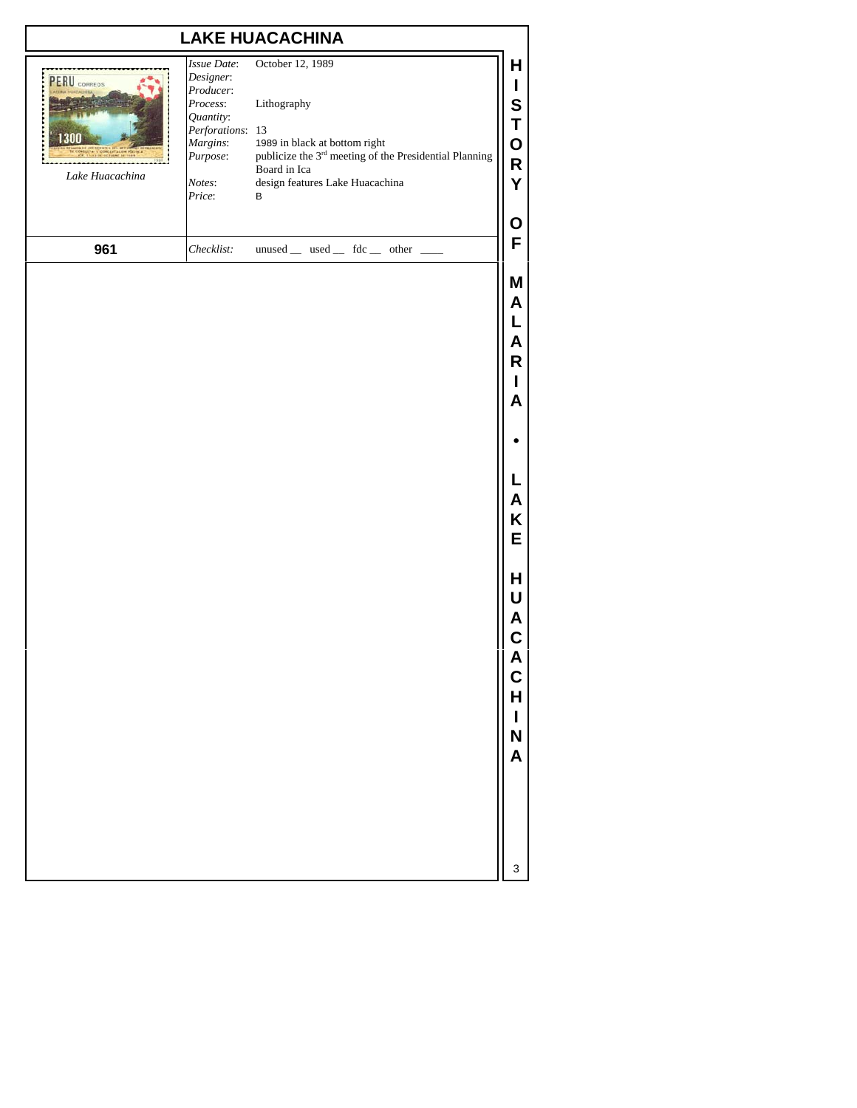## **LAKE HUACACHINA**

| <b>FRU</b> CORREOS<br>Lake Huacachina | <i>Issue Date:</i><br>Designer:<br>Producer:<br>Process:<br>Quantity:<br>Perforations: 13<br>Margins:<br>Purpose:<br>Notes:<br>Price: | October 12, 1989<br>Lithography<br>1989 in black at bottom right<br>publicize the 3 <sup>rd</sup> meeting of the Presidential Planning<br>Board in Ica<br>design features Lake Huacachina<br>B | н<br>O<br>R<br>0 |
|---------------------------------------|---------------------------------------------------------------------------------------------------------------------------------------|------------------------------------------------------------------------------------------------------------------------------------------------------------------------------------------------|------------------|
| 961                                   | Checklist:                                                                                                                            | unused used fdc other                                                                                                                                                                          | F                |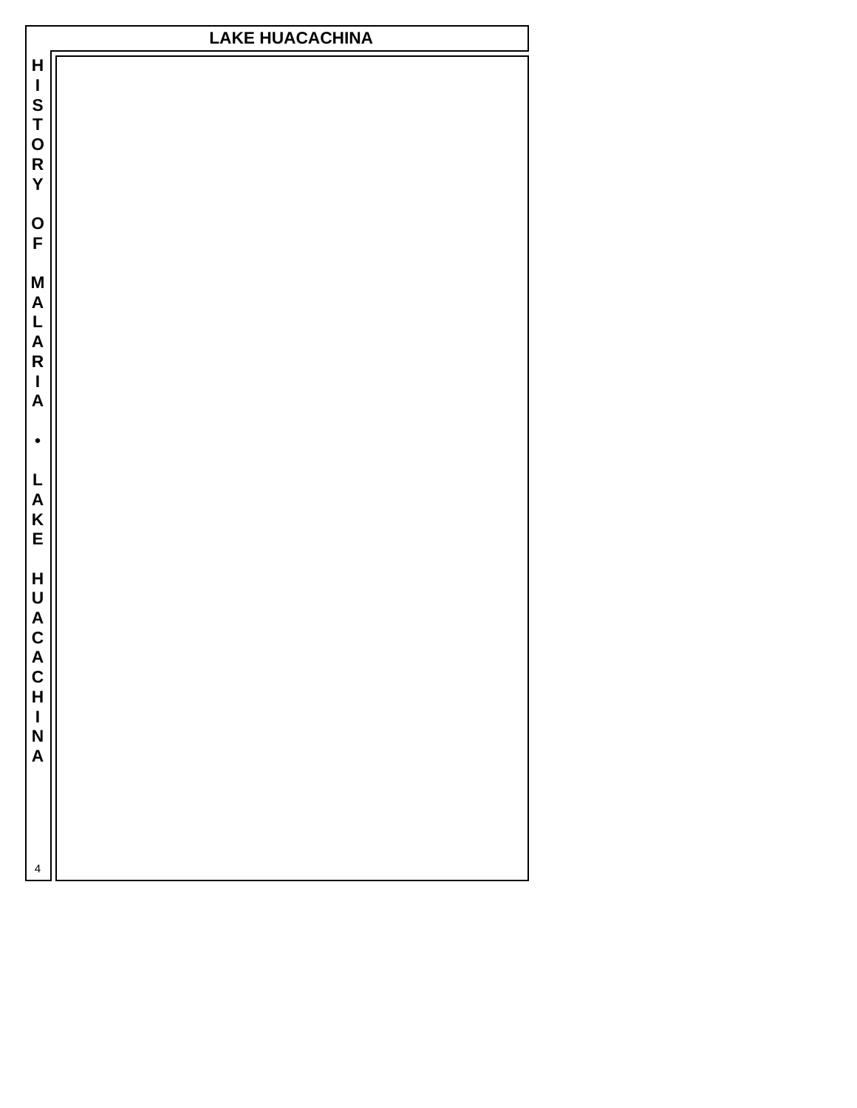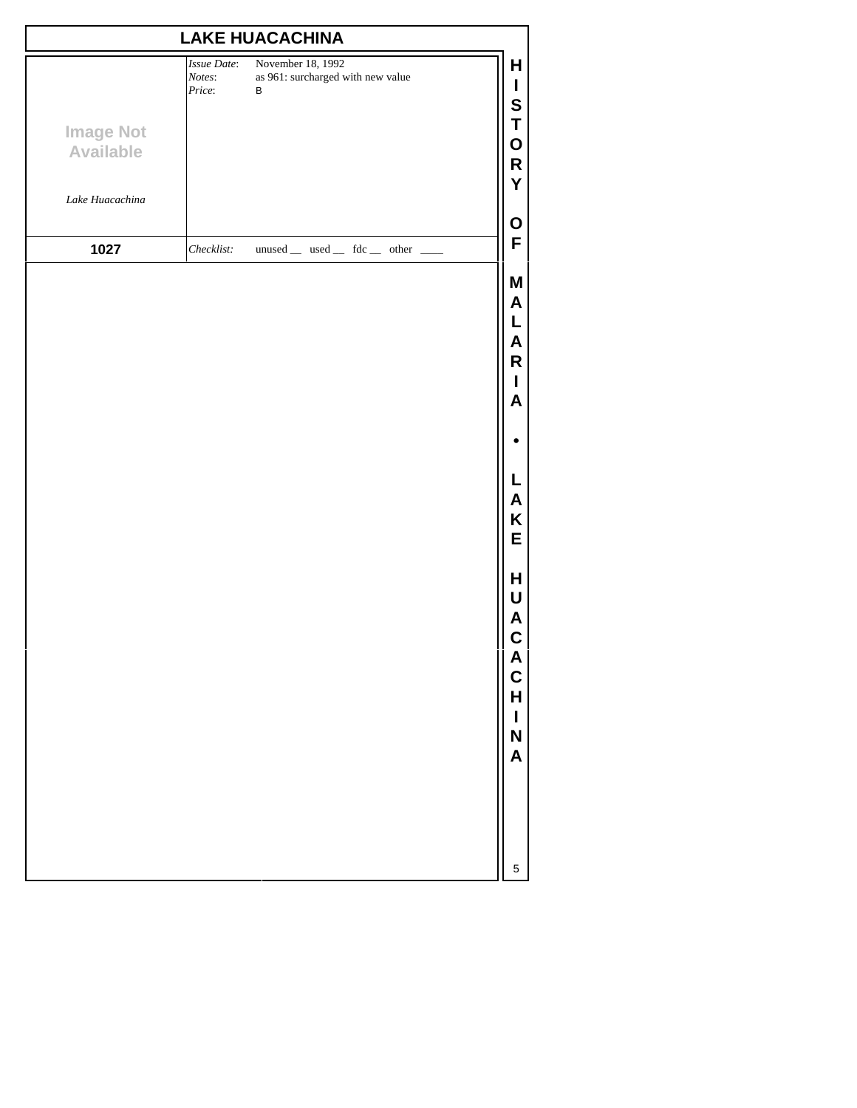| <b>LAKE HUACACHINA</b>               |                                 |                                                             |                                                                    |  |
|--------------------------------------|---------------------------------|-------------------------------------------------------------|--------------------------------------------------------------------|--|
|                                      | Issue Date:<br>Notes:<br>Price: | November 18, 1992<br>as 961: surcharged with new value<br>B | Н<br>L<br>S                                                        |  |
| <b>Image Not</b><br><b>Available</b> |                                 |                                                             | T<br>O<br>R                                                        |  |
| Lake Huacachina                      |                                 |                                                             | Y<br>$\mathbf O$                                                   |  |
| 1027                                 | Checklist:                      | unused _ used _ fdc _ other _                               | F                                                                  |  |
|                                      |                                 |                                                             | M<br>A<br>L<br>A<br>$\mathsf R$<br>$\mathbf I$<br>A                |  |
|                                      |                                 |                                                             |                                                                    |  |
|                                      |                                 |                                                             | L<br>A<br>Κ<br>E                                                   |  |
|                                      |                                 |                                                             | Н<br>U<br>A<br>$\mathbf C$<br>A<br>C<br>H<br>$\mathbf I$<br>N<br>A |  |
|                                      |                                 |                                                             | 5                                                                  |  |